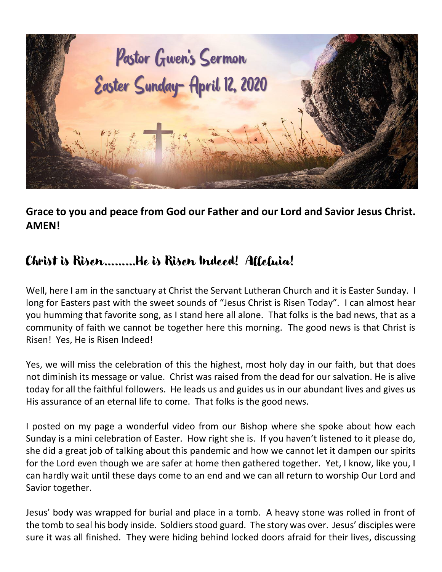

**Grace to you and peace from God our Father and our Lord and Savior Jesus Christ. AMEN!**

## Christ is Risen………He is Risen Indeed! Alleluia!

Well, here I am in the sanctuary at Christ the Servant Lutheran Church and it is Easter Sunday. I long for Easters past with the sweet sounds of "Jesus Christ is Risen Today". I can almost hear you humming that favorite song, as I stand here all alone. That folks is the bad news, that as a community of faith we cannot be together here this morning. The good news is that Christ is Risen! Yes, He is Risen Indeed!

Yes, we will miss the celebration of this the highest, most holy day in our faith, but that does not diminish its message or value. Christ was raised from the dead for our salvation. He is alive today for all the faithful followers. He leads us and guides us in our abundant lives and gives us His assurance of an eternal life to come. That folks is the good news.

I posted on my page a wonderful video from our Bishop where she spoke about how each Sunday is a mini celebration of Easter. How right she is. If you haven't listened to it please do, she did a great job of talking about this pandemic and how we cannot let it dampen our spirits for the Lord even though we are safer at home then gathered together. Yet, I know, like you, I can hardly wait until these days come to an end and we can all return to worship Our Lord and Savior together.

Jesus' body was wrapped for burial and place in a tomb. A heavy stone was rolled in front of the tomb to seal his body inside. Soldiers stood guard. The story was over. Jesus' disciples were sure it was all finished. They were hiding behind locked doors afraid for their lives, discussing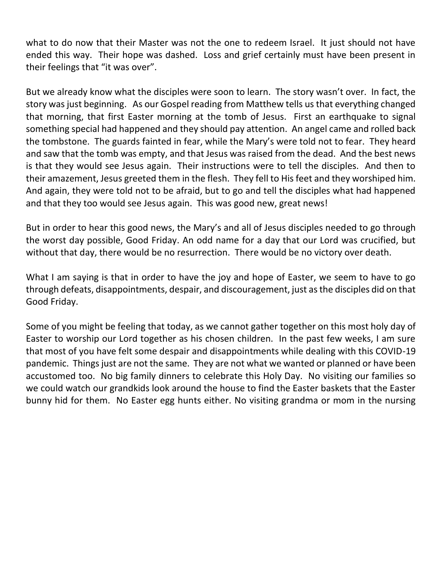what to do now that their Master was not the one to redeem Israel. It just should not have ended this way. Their hope was dashed. Loss and grief certainly must have been present in their feelings that "it was over".

But we already know what the disciples were soon to learn. The story wasn't over. In fact, the story was just beginning. As our Gospel reading from Matthew tells us that everything changed that morning, that first Easter morning at the tomb of Jesus. First an earthquake to signal something special had happened and they should pay attention. An angel came and rolled back the tombstone. The guards fainted in fear, while the Mary's were told not to fear. They heard and saw that the tomb was empty, and that Jesus was raised from the dead. And the best news is that they would see Jesus again. Their instructions were to tell the disciples. And then to their amazement, Jesus greeted them in the flesh. They fell to His feet and they worshiped him. And again, they were told not to be afraid, but to go and tell the disciples what had happened and that they too would see Jesus again. This was good new, great news!

But in order to hear this good news, the Mary's and all of Jesus disciples needed to go through the worst day possible, Good Friday. An odd name for a day that our Lord was crucified, but without that day, there would be no resurrection. There would be no victory over death.

What I am saying is that in order to have the joy and hope of Easter, we seem to have to go through defeats, disappointments, despair, and discouragement, just as the disciples did on that Good Friday.

Some of you might be feeling that today, as we cannot gather together on this most holy day of Easter to worship our Lord together as his chosen children. In the past few weeks, I am sure that most of you have felt some despair and disappointments while dealing with this COVID-19 pandemic. Things just are not the same. They are not what we wanted or planned or have been accustomed too. No big family dinners to celebrate this Holy Day. No visiting our families so we could watch our grandkids look around the house to find the Easter baskets that the Easter bunny hid for them. No Easter egg hunts either. No visiting grandma or mom in the nursing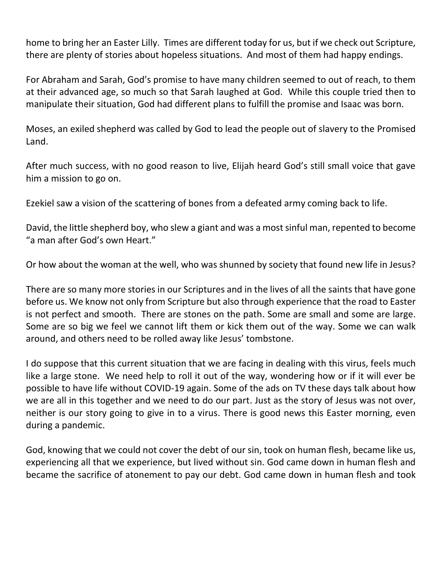home to bring her an Easter Lilly. Times are different today for us, but if we check out Scripture, there are plenty of stories about hopeless situations. And most of them had happy endings.

For Abraham and Sarah, God's promise to have many children seemed to out of reach, to them at their advanced age, so much so that Sarah laughed at God. While this couple tried then to manipulate their situation, God had different plans to fulfill the promise and Isaac was born.

Moses, an exiled shepherd was called by God to lead the people out of slavery to the Promised Land.

After much success, with no good reason to live, Elijah heard God's still small voice that gave him a mission to go on.

Ezekiel saw a vision of the scattering of bones from a defeated army coming back to life.

David, the little shepherd boy, who slew a giant and was a most sinful man, repented to become "a man after God's own Heart."

Or how about the woman at the well, who was shunned by society that found new life in Jesus?

There are so many more stories in our Scriptures and in the lives of all the saints that have gone before us. We know not only from Scripture but also through experience that the road to Easter is not perfect and smooth. There are stones on the path. Some are small and some are large. Some are so big we feel we cannot lift them or kick them out of the way. Some we can walk around, and others need to be rolled away like Jesus' tombstone.

I do suppose that this current situation that we are facing in dealing with this virus, feels much like a large stone. We need help to roll it out of the way, wondering how or if it will ever be possible to have life without COVID-19 again. Some of the ads on TV these days talk about how we are all in this together and we need to do our part. Just as the story of Jesus was not over, neither is our story going to give in to a virus. There is good news this Easter morning, even during a pandemic.

God, knowing that we could not cover the debt of our sin, took on human flesh, became like us, experiencing all that we experience, but lived without sin. God came down in human flesh and became the sacrifice of atonement to pay our debt. God came down in human flesh and took